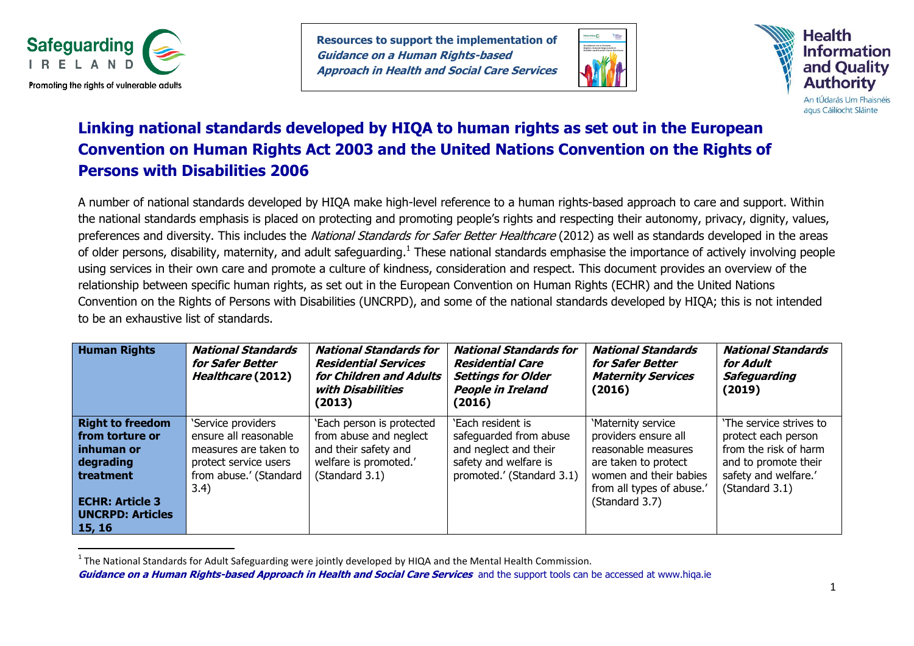

 $\overline{\phantom{a}}$ 

**Resources to support the implementation of Guidance on a Human Rights-based Approach in Health and Social Care Services**



Health Information and Ouality An tÚdarás Um Fhaisnéis agus Cáilíocht Sláinte

## **Linking national standards developed by HIQA to human rights as set out in the European Convention on Human Rights Act 2003 and the United Nations Convention on the Rights of Persons with Disabilities 2006**

A number of national standards developed by HIQA make high-level reference to a human rights-based approach to care and support. Within the national standards emphasis is placed on protecting and promoting people's rights and respecting their autonomy, privacy, dignity, values, preferences and diversity. This includes the National Standards for Safer Better Healthcare (2012) as well as standards developed in the areas of older persons, disability, maternity, and adult safeguarding.<sup>1</sup> These national standards emphasise the importance of actively involving people using services in their own care and promote a culture of kindness, consideration and respect. This document provides an overview of the relationship between specific human rights, as set out in the European Convention on Human Rights (ECHR) and the United Nations Convention on the Rights of Persons with Disabilities (UNCRPD), and some of the national standards developed by HIQA; this is not intended to be an exhaustive list of standards.

| <b>Human Rights</b>                                                                                          | <b>National Standards</b><br>for Safer Better<br>Healthcare (2012)                                                              | <b>National Standards for</b><br><b>Residential Services</b><br>for Children and Adults<br>with Disabilities<br>(2013) | <b>National Standards for</b><br><b>Residential Care</b><br><b>Settings for Older</b><br><b>People in Ireland</b><br>(2016) | <b>National Standards</b><br>for Safer Better<br><b>Maternity Services</b><br>(2016)                                                                               | <b>National Standards</b><br>for Adult<br><b>Safeguarding</b><br>(2019)                                                                  |
|--------------------------------------------------------------------------------------------------------------|---------------------------------------------------------------------------------------------------------------------------------|------------------------------------------------------------------------------------------------------------------------|-----------------------------------------------------------------------------------------------------------------------------|--------------------------------------------------------------------------------------------------------------------------------------------------------------------|------------------------------------------------------------------------------------------------------------------------------------------|
| <b>Right to freedom</b><br>from torture or<br>inhuman or<br>degrading<br>treatment<br><b>ECHR: Article 3</b> | 'Service providers<br>ensure all reasonable<br>measures are taken to<br>protect service users<br>from abuse.' (Standard<br>3.4) | 'Each person is protected<br>from abuse and neglect<br>and their safety and<br>welfare is promoted.'<br>(Standard 3.1) | 'Each resident is<br>safeguarded from abuse<br>and neglect and their<br>safety and welfare is<br>promoted.' (Standard 3.1)  | 'Maternity service<br>providers ensure all<br>reasonable measures<br>are taken to protect<br>women and their babies<br>from all types of abuse.'<br>(Standard 3.7) | The service strives to<br>protect each person<br>from the risk of harm<br>and to promote their<br>safety and welfare.'<br>(Standard 3.1) |
| <b>UNCRPD: Articles</b><br>15, 16                                                                            |                                                                                                                                 |                                                                                                                        |                                                                                                                             |                                                                                                                                                                    |                                                                                                                                          |

 $^1$  The National Standards for Adult Safeguarding were jointly developed by HIQA and the Mental Health Commission.

**Guidance on a Human Rights-based Approach in Health and Social Care Services** and the support tools can be accessed at www.hiqa.ie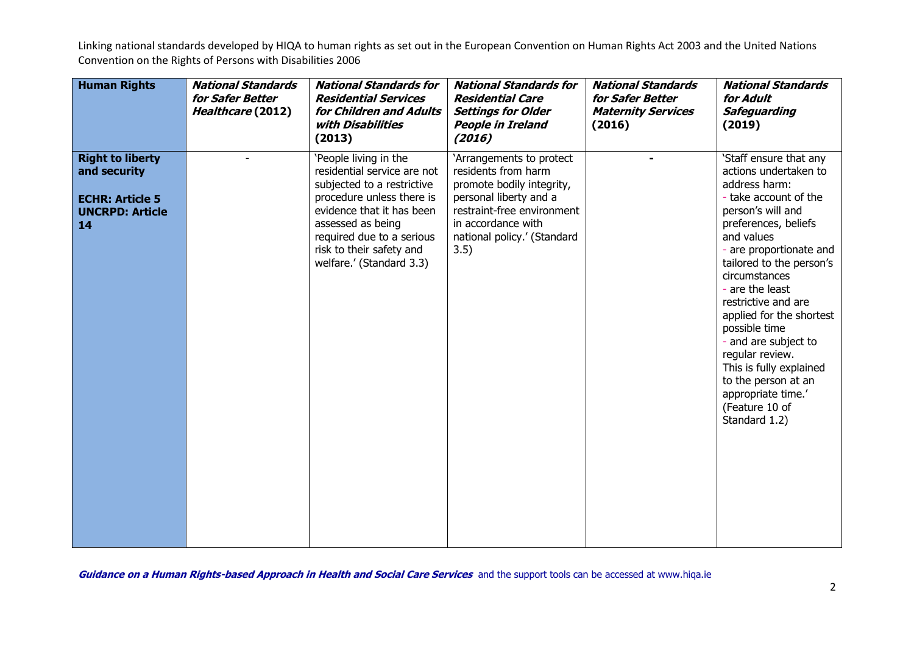| <b>Human Rights</b>                                                                               | <b>National Standards</b><br>for Safer Better<br>Healthcare (2012) | <b>National Standards for</b><br><b>Residential Services</b><br>for Children and Adults<br>with Disabilities<br>(2013)                                                                                                                                 | <b>National Standards for</b><br><b>Residential Care</b><br><b>Settings for Older</b><br><b>People in Ireland</b><br>(2016)                                                                       | <b>National Standards</b><br>for Safer Better<br><b>Maternity Services</b><br>(2016) | <b>National Standards</b><br>for Adult<br><b>Safeguarding</b><br>(2019)                                                                                                                                                                                                                                                                                                                                                                                                   |
|---------------------------------------------------------------------------------------------------|--------------------------------------------------------------------|--------------------------------------------------------------------------------------------------------------------------------------------------------------------------------------------------------------------------------------------------------|---------------------------------------------------------------------------------------------------------------------------------------------------------------------------------------------------|--------------------------------------------------------------------------------------|---------------------------------------------------------------------------------------------------------------------------------------------------------------------------------------------------------------------------------------------------------------------------------------------------------------------------------------------------------------------------------------------------------------------------------------------------------------------------|
| <b>Right to liberty</b><br>and security<br><b>ECHR: Article 5</b><br><b>UNCRPD: Article</b><br>14 |                                                                    | 'People living in the<br>residential service are not<br>subjected to a restrictive<br>procedure unless there is<br>evidence that it has been<br>assessed as being<br>required due to a serious<br>risk to their safety and<br>welfare.' (Standard 3.3) | 'Arrangements to protect<br>residents from harm<br>promote bodily integrity,<br>personal liberty and a<br>restraint-free environment<br>in accordance with<br>national policy.' (Standard<br>3.5) |                                                                                      | 'Staff ensure that any<br>actions undertaken to<br>address harm:<br>- take account of the<br>person's will and<br>preferences, beliefs<br>and values<br>- are proportionate and<br>tailored to the person's<br>circumstances<br>- are the least<br>restrictive and are<br>applied for the shortest<br>possible time<br>- and are subject to<br>regular review.<br>This is fully explained<br>to the person at an<br>appropriate time.'<br>(Feature 10 of<br>Standard 1.2) |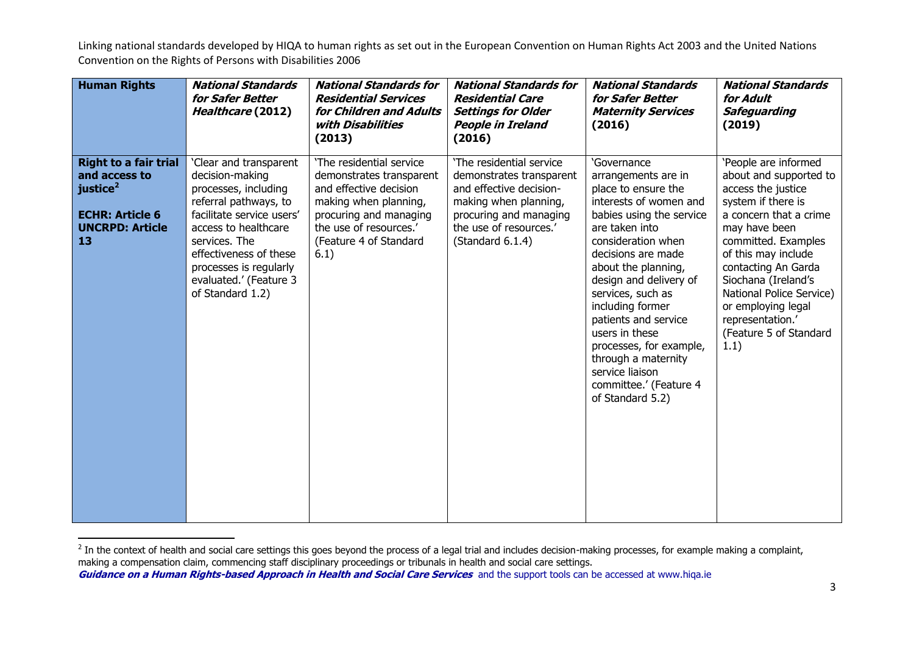| <b>Human Rights</b>                                                                                                             | <b>National Standards</b><br>for Safer Better<br>Healthcare (2012)                                                                                                                                                                                                 | <b>National Standards for</b><br><b>Residential Services</b><br>for Children and Adults<br>with Disabilities<br>(2013)                                                                        | <b>National Standards for</b><br><b>Residential Care</b><br><b>Settings for Older</b><br><b>People in Ireland</b><br>(2016)                                                      | <b>National Standards</b><br>for Safer Better<br><b>Maternity Services</b><br>(2016)                                                                                                                                                                                                                                                                                                                                                 | <b>National Standards</b><br>for Adult<br><b>Safeguarding</b><br>(2019)                                                                                                                                                                                                                                                                   |
|---------------------------------------------------------------------------------------------------------------------------------|--------------------------------------------------------------------------------------------------------------------------------------------------------------------------------------------------------------------------------------------------------------------|-----------------------------------------------------------------------------------------------------------------------------------------------------------------------------------------------|----------------------------------------------------------------------------------------------------------------------------------------------------------------------------------|--------------------------------------------------------------------------------------------------------------------------------------------------------------------------------------------------------------------------------------------------------------------------------------------------------------------------------------------------------------------------------------------------------------------------------------|-------------------------------------------------------------------------------------------------------------------------------------------------------------------------------------------------------------------------------------------------------------------------------------------------------------------------------------------|
| <b>Right to a fair trial</b><br>and access to<br>justice <sup>2</sup><br><b>ECHR: Article 6</b><br><b>UNCRPD: Article</b><br>13 | 'Clear and transparent<br>decision-making<br>processes, including<br>referral pathways, to<br>facilitate service users'<br>access to healthcare<br>services. The<br>effectiveness of these<br>processes is regularly<br>evaluated.' (Feature 3<br>of Standard 1.2) | 'The residential service<br>demonstrates transparent<br>and effective decision<br>making when planning,<br>procuring and managing<br>the use of resources.'<br>(Feature 4 of Standard<br>6.1) | 'The residential service<br>demonstrates transparent<br>and effective decision-<br>making when planning,<br>procuring and managing<br>the use of resources.'<br>(Standard 6.1.4) | 'Governance<br>arrangements are in<br>place to ensure the<br>interests of women and<br>babies using the service<br>are taken into<br>consideration when<br>decisions are made<br>about the planning,<br>design and delivery of<br>services, such as<br>including former<br>patients and service<br>users in these<br>processes, for example,<br>through a maternity<br>service liaison<br>committee.' (Feature 4<br>of Standard 5.2) | 'People are informed<br>about and supported to<br>access the justice<br>system if there is<br>a concern that a crime<br>may have been<br>committed. Examples<br>of this may include<br>contacting An Garda<br>Siochana (Ireland's<br>National Police Service)<br>or employing legal<br>representation.'<br>(Feature 5 of Standard<br>1.1) |

**Guidance on a Human Rights-based Approach in Health and Social Care Services** and the support tools can be accessed at www.hiqa.ie  $^2$  In the context of health and social care settings this goes beyond the process of a legal trial and includes decision-making processes, for example making a complaint, making a compensation claim, commencing staff disciplinary proceedings or tribunals in health and social care settings.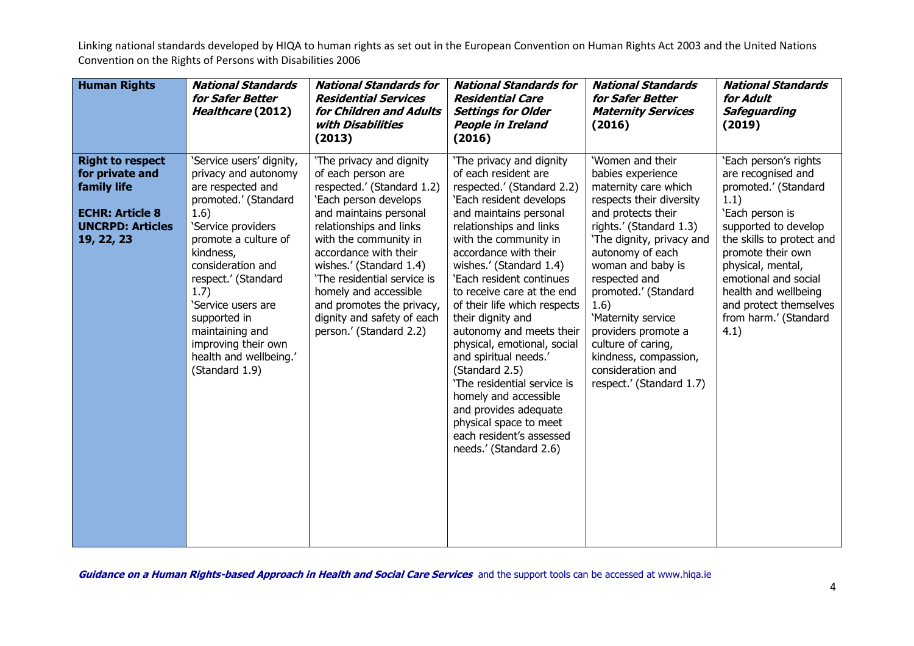| <b>Human Rights</b>                                                                                                          | <b>National Standards</b><br>for Safer Better<br>Healthcare (2012)                                                                                                                                                                                                                                                                               | <b>National Standards for</b><br><b>Residential Services</b><br>for Children and Adults<br>with Disabilities<br>(2013)                                                                                                                                                                                                                                                                | <b>National Standards for</b><br><b>Residential Care</b><br><b>Settings for Older</b><br><b>People in Ireland</b><br>(2016)                                                                                                                                                                                                                                                                                                                                                                                                                                                                                                       | <b>National Standards</b><br>for Safer Better<br><b>Maternity Services</b><br>(2016)                                                                                                                                                                                                                                                                                                                           | <b>National Standards</b><br>for Adult<br><b>Safeguarding</b><br>(2019)                                                                                                                                                                                                                                  |
|------------------------------------------------------------------------------------------------------------------------------|--------------------------------------------------------------------------------------------------------------------------------------------------------------------------------------------------------------------------------------------------------------------------------------------------------------------------------------------------|---------------------------------------------------------------------------------------------------------------------------------------------------------------------------------------------------------------------------------------------------------------------------------------------------------------------------------------------------------------------------------------|-----------------------------------------------------------------------------------------------------------------------------------------------------------------------------------------------------------------------------------------------------------------------------------------------------------------------------------------------------------------------------------------------------------------------------------------------------------------------------------------------------------------------------------------------------------------------------------------------------------------------------------|----------------------------------------------------------------------------------------------------------------------------------------------------------------------------------------------------------------------------------------------------------------------------------------------------------------------------------------------------------------------------------------------------------------|----------------------------------------------------------------------------------------------------------------------------------------------------------------------------------------------------------------------------------------------------------------------------------------------------------|
| <b>Right to respect</b><br>for private and<br>family life<br><b>ECHR: Article 8</b><br><b>UNCRPD: Articles</b><br>19, 22, 23 | 'Service users' dignity,<br>privacy and autonomy<br>are respected and<br>promoted.' (Standard<br>1.6)<br>'Service providers<br>promote a culture of<br>kindness,<br>consideration and<br>respect.' (Standard<br>1.7)<br>'Service users are<br>supported in<br>maintaining and<br>improving their own<br>health and wellbeing.'<br>(Standard 1.9) | 'The privacy and dignity<br>of each person are<br>respected.' (Standard 1.2)<br>'Each person develops<br>and maintains personal<br>relationships and links<br>with the community in<br>accordance with their<br>wishes.' (Standard 1.4)<br>'The residential service is<br>homely and accessible<br>and promotes the privacy,<br>dignity and safety of each<br>person.' (Standard 2.2) | 'The privacy and dignity<br>of each resident are<br>respected.' (Standard 2.2)<br>'Each resident develops<br>and maintains personal<br>relationships and links<br>with the community in<br>accordance with their<br>wishes.' (Standard 1.4)<br>'Each resident continues<br>to receive care at the end<br>of their life which respects<br>their dignity and<br>autonomy and meets their<br>physical, emotional, social<br>and spiritual needs.'<br>(Standard 2.5)<br>'The residential service is<br>homely and accessible<br>and provides adequate<br>physical space to meet<br>each resident's assessed<br>needs.' (Standard 2.6) | 'Women and their<br>babies experience<br>maternity care which<br>respects their diversity<br>and protects their<br>rights.' (Standard 1.3)<br>'The dignity, privacy and<br>autonomy of each<br>woman and baby is<br>respected and<br>promoted.' (Standard<br>1.6)<br>'Maternity service<br>providers promote a<br>culture of caring,<br>kindness, compassion,<br>consideration and<br>respect.' (Standard 1.7) | 'Each person's rights<br>are recognised and<br>promoted.' (Standard<br>1.1)<br>'Each person is<br>supported to develop<br>the skills to protect and<br>promote their own<br>physical, mental,<br>emotional and social<br>health and wellbeing<br>and protect themselves<br>from harm.' (Standard<br>4.1) |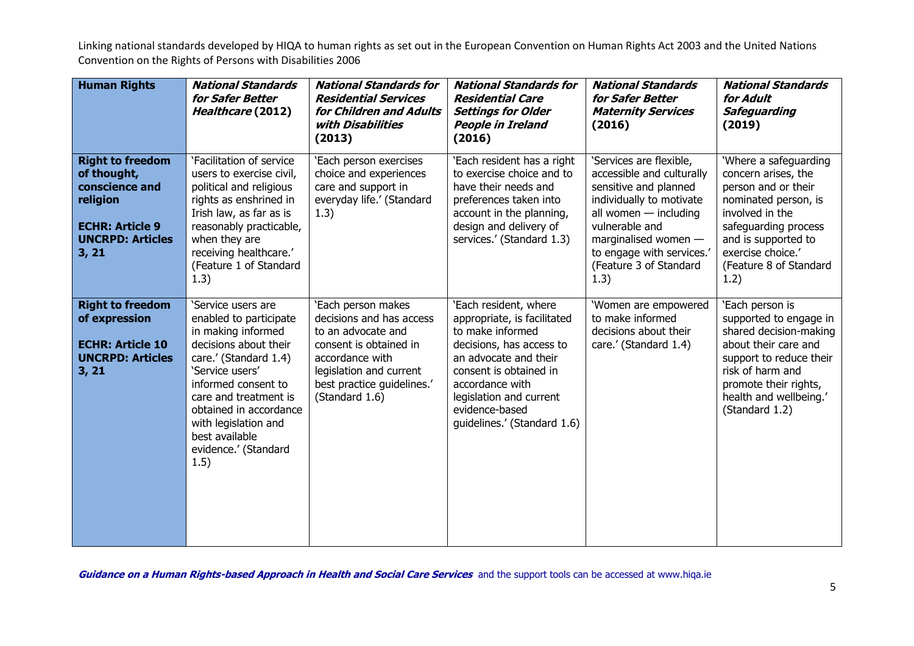| <b>Human Rights</b>                                                                                                                | <b>National Standards</b><br>for Safer Better<br>Healthcare (2012)                                                                                                                                                                                                                          | <b>National Standards for</b><br><b>Residential Services</b><br>for Children and Adults<br>with Disabilities<br>(2013)                                                                       | <b>National Standards for</b><br><b>Residential Care</b><br><b>Settings for Older</b><br><b>People in Ireland</b><br>(2016)                                                                                                                            | <b>National Standards</b><br>for Safer Better<br><b>Maternity Services</b><br>(2016)                                                                                                                                                          | <b>National Standards</b><br>for Adult<br><b>Safeguarding</b><br>(2019)                                                                                                                                              |
|------------------------------------------------------------------------------------------------------------------------------------|---------------------------------------------------------------------------------------------------------------------------------------------------------------------------------------------------------------------------------------------------------------------------------------------|----------------------------------------------------------------------------------------------------------------------------------------------------------------------------------------------|--------------------------------------------------------------------------------------------------------------------------------------------------------------------------------------------------------------------------------------------------------|-----------------------------------------------------------------------------------------------------------------------------------------------------------------------------------------------------------------------------------------------|----------------------------------------------------------------------------------------------------------------------------------------------------------------------------------------------------------------------|
| <b>Right to freedom</b><br>of thought,<br>conscience and<br>religion<br><b>ECHR: Article 9</b><br><b>UNCRPD: Articles</b><br>3, 21 | 'Facilitation of service<br>users to exercise civil,<br>political and religious<br>rights as enshrined in<br>Irish law, as far as is<br>reasonably practicable,<br>when they are<br>receiving healthcare.'<br>(Feature 1 of Standard<br>1.3)                                                | 'Each person exercises<br>choice and experiences<br>care and support in<br>everyday life.' (Standard<br>1.3)                                                                                 | 'Each resident has a right<br>to exercise choice and to<br>have their needs and<br>preferences taken into<br>account in the planning,<br>design and delivery of<br>services.' (Standard 1.3)                                                           | 'Services are flexible,<br>accessible and culturally<br>sensitive and planned<br>individually to motivate<br>all women $-$ including<br>vulnerable and<br>marginalised women -<br>to engage with services.'<br>(Feature 3 of Standard<br>1.3) | 'Where a safeguarding<br>concern arises, the<br>person and or their<br>nominated person, is<br>involved in the<br>safeguarding process<br>and is supported to<br>exercise choice.'<br>(Feature 8 of Standard<br>1.2) |
| <b>Right to freedom</b><br>of expression<br><b>ECHR: Article 10</b><br><b>UNCRPD: Articles</b><br>3, 21                            | 'Service users are<br>enabled to participate<br>in making informed<br>decisions about their<br>care.' (Standard 1.4)<br>'Service users'<br>informed consent to<br>care and treatment is<br>obtained in accordance<br>with legislation and<br>best available<br>evidence.' (Standard<br>1.5) | 'Each person makes<br>decisions and has access<br>to an advocate and<br>consent is obtained in<br>accordance with<br>legislation and current<br>best practice quidelines.'<br>(Standard 1.6) | 'Each resident, where<br>appropriate, is facilitated<br>to make informed<br>decisions, has access to<br>an advocate and their<br>consent is obtained in<br>accordance with<br>legislation and current<br>evidence-based<br>guidelines.' (Standard 1.6) | 'Women are empowered<br>to make informed<br>decisions about their<br>care.' (Standard 1.4)                                                                                                                                                    | 'Each person is<br>supported to engage in<br>shared decision-making<br>about their care and<br>support to reduce their<br>risk of harm and<br>promote their rights,<br>health and wellbeing.'<br>(Standard 1.2)      |